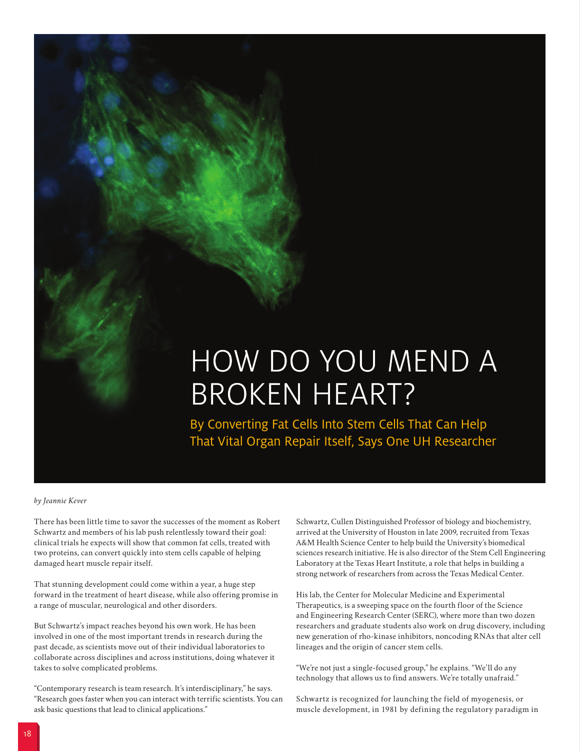# HOW DO YOU MEND A BROKEN HEART?

By Converting Fat Cells Into Stem Cells That Can Help That Vital Organ Repair Itself, Says One UH Researcher

## *by Jeannie Kever*

There has been little time to savor the successes of the moment as Robert Schwartz and members of his lab push relentlessly toward their goal: clinical trials he expects will show that common fat cells, treated with two proteins, can convert quickly into stem cells capable of helping damaged heart muscle repair itself.

That stunning development could come within a year, a huge step forward in the treatment of heart disease, while also offering promise in a range of muscular, neurological and other disorders.

But Schwartz's impact reaches beyond his own work. He has been involved in one of the most important trends in research during the past decade, as scientists move out of their individual laboratories to collaborate across disciplines and across institutions, doing whatever it takes to solve complicated problems.

"Contemporary research is team research. It's interdisciplinary," he says. "Research goes faster when you can interact with terrific scientists. You can ask basic questions that lead to clinical applications."

Schwartz, Cullen Distinguished Professor of biology and biochemistry, arrived at the University of Houston in late 2009, recruited from Texas A&M Health Science Center to help build the University's biomedical sciences research initiative. He is also director of the Stem Cell Engineering Laboratory at the Texas Heart Institute, a role that helps in building a strong network of researchers from across the Texas Medical Center.

His lab, the Center for Molecular Medicine and Experimental Therapeutics, is a sweeping space on the fourth floor of the Science and Engineering Research Center (SERC), where more than two dozen researchers and graduate students also work on drug discovery, including new generation of rho-kinase inhibitors, noncoding RNAs that alter cell lineages and the origin of cancer stem cells.

"We're not just a single-focused group," he explains. "We'll do any technology that allows us to find answers. We're totally unafraid."

Schwartz is recognized for launching the field of myogenesis, or muscle development, in 1981 by defining the regulatory paradigm in